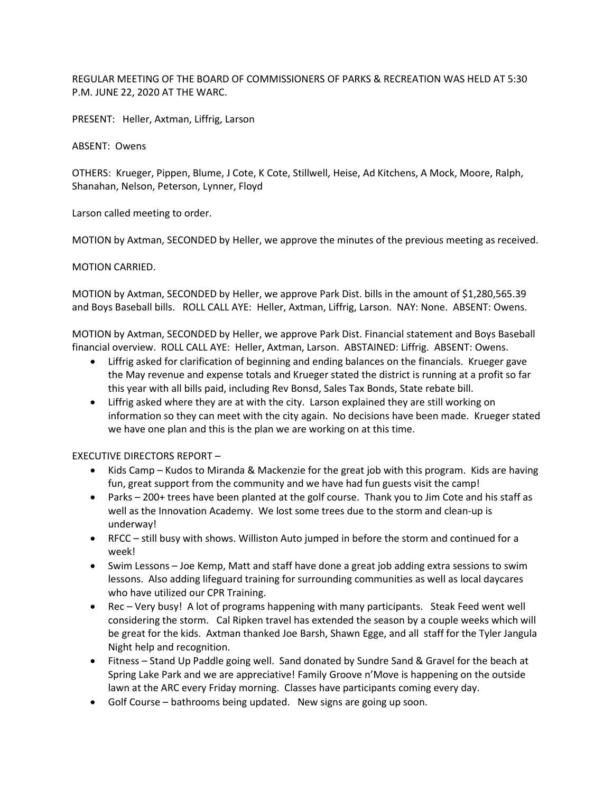REGULAR MEETING OF THE BOARD OF COMMISSIONERS OF PARKS & RECREATION WAS HELD AT 5:30 P.M. JUNE 22, 2020 AT THE WARC.

PRESENT: Heller, Axtman, Liffrig, Larson

ABSENT: Owens

OTHERS: Krueger, Pippen, Blume, J Cote, K Cote, Stillwell, Heise, Ad Kitchens, A Mock, Moore, Ralph, Shanahan, Nelson, Peterson, Lynner, Floyd

Larson called meeting to order.

MOTION by Axtman, SECONDED by Heller, we approve the minutes of the previous meeting as received.

MOTION CARRIED.

MOTION by Axtman, SECONDED by Heller, we approve Park Dist. bills in the amount of \$1,280,565.39 and Boys Baseball bills. ROLL CALL AYE: Heller, Axtman, Liffrig, Larson. NAY: None. ABSENT: Owens.

MOTION by Axtman, SECONDED by Heller, we approve Park Dist. Financial statement and Boys Baseball financial overview. ROLL CALL AYE: Heller, Axtman, Larson. ABSTAINED: Liffrig. ABSENT: Owens.

- Liffrig asked for clarification of beginning and ending balances on the financials. Krueger gave the May revenue and expense totals and Krueger stated the district is running at a profit so far this year with all bills paid, including Rev Bonsd, Sales Tax Bonds, State rebate bill.
- Liffrig asked where they are at with the city. Larson explained they are still working on information so they can meet with the city again. No decisions have been made. Krueger stated we have one plan and this is the plan we are working on at this time.

EXECUTIVE DIRECTORS REPORT –

- Kids Camp Kudos to Miranda & Mackenzie for the great job with this program. Kids are having fun, great support from the community and we have had fun guests visit the camp!
- Parks 200+ trees have been planted at the golf course. Thank you to Jim Cote and his staff as well as the Innovation Academy. We lost some trees due to the storm and clean-up is underway!
- RFCC still busy with shows. Williston Auto jumped in before the storm and continued for a week!
- Swim Lessons Joe Kemp, Matt and staff have done a great job adding extra sessions to swim lessons. Also adding lifeguard training for surrounding communities as well as local daycares who have utilized our CPR Training.
- Rec Very busy! A lot of programs happening with many participants. Steak Feed went well considering the storm. Cal Ripken travel has extended the season by a couple weeks which will be great for the kids. Axtman thanked Joe Barsh, Shawn Egge, and all staff for the Tyler Jangula Night help and recognition.
- Fitness Stand Up Paddle going well. Sand donated by Sundre Sand & Gravel for the beach at Spring Lake Park and we are appreciative! Family Groove n'Move is happening on the outside lawn at the ARC every Friday morning. Classes have participants coming every day.
- Golf Course bathrooms being updated. New signs are going up soon.